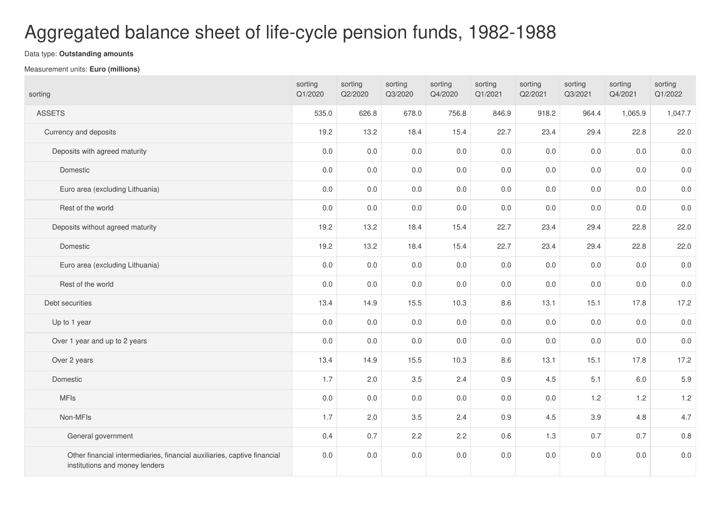## Aggregated balance sheet of life-cycle pension funds, 1982-1988

## Data type: **Outstanding amounts**

## Measurement units: **Euro (millions)**

| sorting                                                                                                    | sorting<br>Q1/2020 | sorting<br>Q2/2020 | sorting<br>Q3/2020 | sorting<br>Q4/2020 | sorting<br>Q1/2021 | sorting<br>Q2/2021 | sorting<br>Q3/2021 | sorting<br>Q4/2021 | sorting<br>Q1/2022 |
|------------------------------------------------------------------------------------------------------------|--------------------|--------------------|--------------------|--------------------|--------------------|--------------------|--------------------|--------------------|--------------------|
| <b>ASSETS</b>                                                                                              | 535.0              | 626.8              | 678.0              | 756.8              | 846.9              | 918.2              | 964.4              | 1,065.9            | 1,047.7            |
| Currency and deposits                                                                                      | 19.2               | 13.2               | 18.4               | 15.4               | 22.7               | 23.4               | 29.4               | 22.8               | 22.0               |
| Deposits with agreed maturity                                                                              | $0.0\,$            | 0.0                | 0.0                | $0.0\,$            | 0.0                | 0.0                | 0.0                | 0.0                | $0.0\,$            |
| Domestic                                                                                                   | $0.0\,$            | 0.0                | 0.0                | 0.0                | 0.0                | 0.0                | 0.0                | 0.0                | $0.0\,$            |
| Euro area (excluding Lithuania)                                                                            | 0.0                | 0.0                | 0.0                | 0.0                | 0.0                | 0.0                | 0.0                | 0.0                | $0.0\,$            |
| Rest of the world                                                                                          | $0.0\,$            | 0.0                | 0.0                | 0.0                | 0.0                | $0.0\,$            | 0.0                | 0.0                | $0.0\,$            |
| Deposits without agreed maturity                                                                           | 19.2               | 13.2               | 18.4               | 15.4               | 22.7               | 23.4               | 29.4               | 22.8               | 22.0               |
| Domestic                                                                                                   | 19.2               | 13.2               | 18.4               | 15.4               | 22.7               | 23.4               | 29.4               | 22.8               | 22.0               |
| Euro area (excluding Lithuania)                                                                            | $0.0\,$            | 0.0                | $0.0\,$            | $0.0\,$            | 0.0                | $0.0\,$            | 0.0                | 0.0                | $0.0\,$            |
| Rest of the world                                                                                          | $0.0\,$            | 0.0                | 0.0                | 0.0                | 0.0                | 0.0                | 0.0                | 0.0                | 0.0                |
| Debt securities                                                                                            | 13.4               | 14.9               | 15.5               | 10.3               | 8.6                | 13.1               | 15.1               | 17.8               | 17.2               |
| Up to 1 year                                                                                               | 0.0                | 0.0                | 0.0                | 0.0                | 0.0                | 0.0                | 0.0                | 0.0                | $0.0\,$            |
| Over 1 year and up to 2 years                                                                              | 0.0                | 0.0                | 0.0                | 0.0                | 0.0                | $0.0\,$            | 0.0                | 0.0                | 0.0                |
| Over 2 years                                                                                               | 13.4               | 14.9               | 15.5               | 10.3               | 8.6                | 13.1               | 15.1               | 17.8               | 17.2               |
| Domestic                                                                                                   | 1.7                | 2.0                | 3.5                | 2.4                | 0.9                | 4.5                | 5.1                | 6.0                | 5.9                |
| <b>MFIs</b>                                                                                                | $0.0\,$            | 0.0                | $0.0\,$            | $0.0\,$            | 0.0                | $0.0\,$            | 1.2                | 1.2                | 1.2                |
| Non-MFIs                                                                                                   | 1.7                | 2.0                | 3.5                | 2.4                | 0.9                | 4.5                | 3.9                | 4.8                | 4.7                |
| General government                                                                                         | 0.4                | 0.7                | 2.2                | 2.2                | 0.6                | 1.3                | 0.7                | 0.7                | $0.8\,$            |
| Other financial intermediaries, financial auxiliaries, captive financial<br>institutions and money lenders | 0.0                | 0.0                | 0.0                | 0.0                | 0.0                | 0.0                | 0.0                | 0.0                | $0.0\,$            |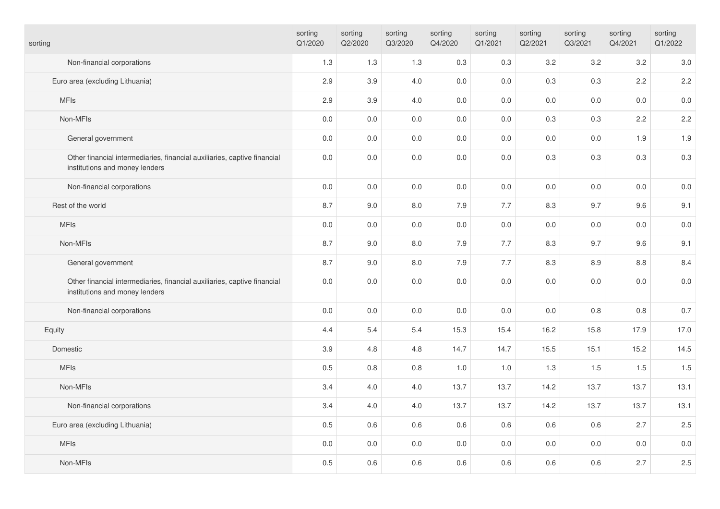| sorting                                                                                                    | sorting<br>Q1/2020 | sorting<br>Q2/2020 | sorting<br>Q3/2020 | sorting<br>Q4/2020 | sorting<br>Q1/2021 | sorting<br>Q2/2021 | sorting<br>Q3/2021 | sorting<br>Q4/2021 | sorting<br>Q1/2022 |
|------------------------------------------------------------------------------------------------------------|--------------------|--------------------|--------------------|--------------------|--------------------|--------------------|--------------------|--------------------|--------------------|
| Non-financial corporations                                                                                 | 1.3                | 1.3                | 1.3                | 0.3                | 0.3                | 3.2                | $3.2\,$            | 3.2                | 3.0                |
| Euro area (excluding Lithuania)                                                                            | 2.9                | 3.9                | 4.0                | $0.0$              | 0.0                | 0.3                | 0.3                | 2.2                | 2.2                |
| <b>MFIs</b>                                                                                                | 2.9                | 3.9                | 4.0                | 0.0                | 0.0                | 0.0                | 0.0                | 0.0                | 0.0                |
| Non-MFIs                                                                                                   | $0.0\,$            | $0.0\,$            | $0.0\,$            | $0.0$              | 0.0                | 0.3                | 0.3                | 2.2                | 2.2                |
| General government                                                                                         | 0.0                | $0.0\,$            | 0.0                | 0.0                | 0.0                | $0.0\,$            | 0.0                | 1.9                | 1.9                |
| Other financial intermediaries, financial auxiliaries, captive financial<br>institutions and money lenders | $0.0\,$            | $0.0\,$            | $0.0\,$            | $0.0\,$            | 0.0                | 0.3                | 0.3                | 0.3                | 0.3                |
| Non-financial corporations                                                                                 | $0.0\,$            | $0.0\,$            | 0.0                | 0.0                | 0.0                | $0.0\,$            | 0.0                | 0.0                | $0.0\,$            |
| Rest of the world                                                                                          | 8.7                | 9.0                | 8.0                | 7.9                | 7.7                | 8.3                | 9.7                | 9.6                | 9.1                |
| <b>MFIs</b>                                                                                                | 0.0                | 0.0                | 0.0                | 0.0                | 0.0                | 0.0                | 0.0                | 0.0                | $0.0\,$            |
| Non-MFIs                                                                                                   | 8.7                | 9.0                | 8.0                | 7.9                | 7.7                | 8.3                | 9.7                | 9.6                | 9.1                |
| General government                                                                                         | 8.7                | 9.0                | 8.0                | 7.9                | 7.7                | 8.3                | 8.9                | 8.8                | 8.4                |
| Other financial intermediaries, financial auxiliaries, captive financial<br>institutions and money lenders | $0.0\,$            | $0.0\,$            | 0.0                | $0.0\,$            | 0.0                | $0.0\,$            | 0.0                | 0.0                | 0.0                |
| Non-financial corporations                                                                                 | $0.0\,$            | $0.0\,$            | $0.0\,$            | $0.0\,$            | 0.0                | $0.0\,$            | 0.8                | 0.8                | 0.7                |
| Equity                                                                                                     | 4.4                | 5.4                | 5.4                | 15.3               | 15.4               | 16.2               | 15.8               | 17.9               | 17.0               |
| Domestic                                                                                                   | 3.9                | 4.8                | 4.8                | 14.7               | 14.7               | 15.5               | 15.1               | 15.2               | 14.5               |
| <b>MFIs</b>                                                                                                | 0.5                | $0.8\,$            | $0.8\,$            | 1.0                | 1.0                | 1.3                | 1.5                | 1.5                | 1.5                |
| Non-MFIs                                                                                                   | 3.4                | $4.0\,$            | 4.0                | 13.7               | 13.7               | 14.2               | 13.7               | 13.7               | 13.1               |
| Non-financial corporations                                                                                 | 3.4                | 4.0                | 4.0                | 13.7               | 13.7               | 14.2               | 13.7               | 13.7               | 13.1               |
| Euro area (excluding Lithuania)                                                                            | 0.5                | 0.6                | 0.6                | 0.6                | 0.6                | 0.6                | 0.6                | 2.7                | 2.5                |
| <b>MFIs</b>                                                                                                | $0.0\,$            | $0.0\,$            | 0.0                | $0.0\,$            | 0.0                | $0.0\,$            | 0.0                | $0.0\,$            | $0.0\,$            |
| Non-MFIs                                                                                                   | 0.5                | 0.6                | 0.6                | 0.6                | 0.6                | 0.6                | 0.6                | 2.7                | 2.5                |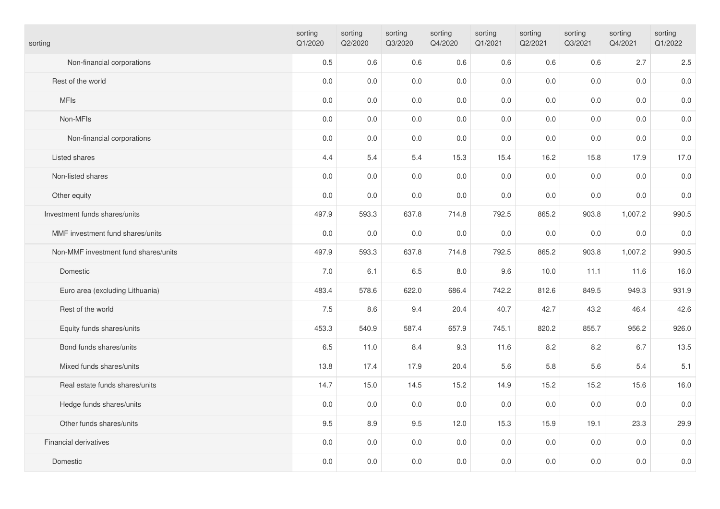| sorting                              | sorting<br>Q1/2020 | sorting<br>Q2/2020 | sorting<br>Q3/2020 | sorting<br>Q4/2020 | sorting<br>Q1/2021 | sorting<br>Q2/2021 | sorting<br>Q3/2021 | sorting<br>Q4/2021 | sorting<br>Q1/2022 |
|--------------------------------------|--------------------|--------------------|--------------------|--------------------|--------------------|--------------------|--------------------|--------------------|--------------------|
| Non-financial corporations           | 0.5                | 0.6                | 0.6                | 0.6                | 0.6                | 0.6                | 0.6                | 2.7                | 2.5                |
| Rest of the world                    | 0.0                | 0.0                | 0.0                | $0.0\,$            | 0.0                | 0.0                | 0.0                | $0.0\,$            | $0.0\,$            |
| <b>MFIs</b>                          | 0.0                | $0.0\,$            | 0.0                | $0.0\,$            | 0.0                | 0.0                | 0.0                | 0.0                | $0.0\,$            |
| Non-MFIs                             | $0.0\,$            | 0.0                | 0.0                | 0.0                | 0.0                | 0.0                | 0.0                | 0.0                | $0.0\,$            |
| Non-financial corporations           | $0.0\,$            | $0.0\,$            | $0.0\,$            | $0.0\,$            | 0.0                | 0.0                | 0.0                | $0.0\,$            | $0.0\,$            |
| Listed shares                        | 4.4                | 5.4                | 5.4                | 15.3               | 15.4               | 16.2               | 15.8               | 17.9               | 17.0               |
| Non-listed shares                    | 0.0                | 0.0                | $0.0\,$            | $0.0\,$            | 0.0                | 0.0                | 0.0                | $0.0\,$            | $0.0\,$            |
| Other equity                         | 0.0                | $0.0\,$            | 0.0                | 0.0                | 0.0                | 0.0                | 0.0                | 0.0                | $0.0\,$            |
| Investment funds shares/units        | 497.9              | 593.3              | 637.8              | 714.8              | 792.5              | 865.2              | 903.8              | 1,007.2            | 990.5              |
| MMF investment fund shares/units     | 0.0                | 0.0                | 0.0                | 0.0                | 0.0                | 0.0                | 0.0                | 0.0                | $0.0\,$            |
| Non-MMF investment fund shares/units | 497.9              | 593.3              | 637.8              | 714.8              | 792.5              | 865.2              | 903.8              | 1,007.2            | 990.5              |
| Domestic                             | 7.0                | 6.1                | 6.5                | 8.0                | 9.6                | 10.0               | 11.1               | 11.6               | 16.0               |
| Euro area (excluding Lithuania)      | 483.4              | 578.6              | 622.0              | 686.4              | 742.2              | 812.6              | 849.5              | 949.3              | 931.9              |
| Rest of the world                    | 7.5                | 8.6                | 9.4                | 20.4               | 40.7               | 42.7               | 43.2               | 46.4               | 42.6               |
| Equity funds shares/units            | 453.3              | 540.9              | 587.4              | 657.9              | 745.1              | 820.2              | 855.7              | 956.2              | 926.0              |
| Bond funds shares/units              | 6.5                | 11.0               | 8.4                | 9.3                | 11.6               | 8.2                | 8.2                | 6.7                | 13.5               |
| Mixed funds shares/units             | 13.8               | 17.4               | 17.9               | 20.4               | 5.6                | 5.8                | 5.6                | 5.4                | 5.1                |
| Real estate funds shares/units       | 14.7               | 15.0               | 14.5               | 15.2               | 14.9               | 15.2               | 15.2               | 15.6               | 16.0               |
| Hedge funds shares/units             | $0.0\,$            | $0.0\,$            | $0.0\,$            | $0.0\,$            | 0.0                | 0.0                | 0.0                | $0.0\,$            | $0.0\,$            |
| Other funds shares/units             | 9.5                | 8.9                | 9.5                | 12.0               | 15.3               | 15.9               | 19.1               | 23.3               | 29.9               |
| <b>Financial derivatives</b>         | 0.0                | $0.0\,$            | 0.0                | $0.0\,$            | 0.0                | 0.0                | 0.0                | 0.0                | $0.0\,$            |
| Domestic                             | $0.0\,$            | 0.0                | 0.0                | 0.0                | 0.0                | 0.0                | 0.0                | 0.0                | $0.0\,$            |